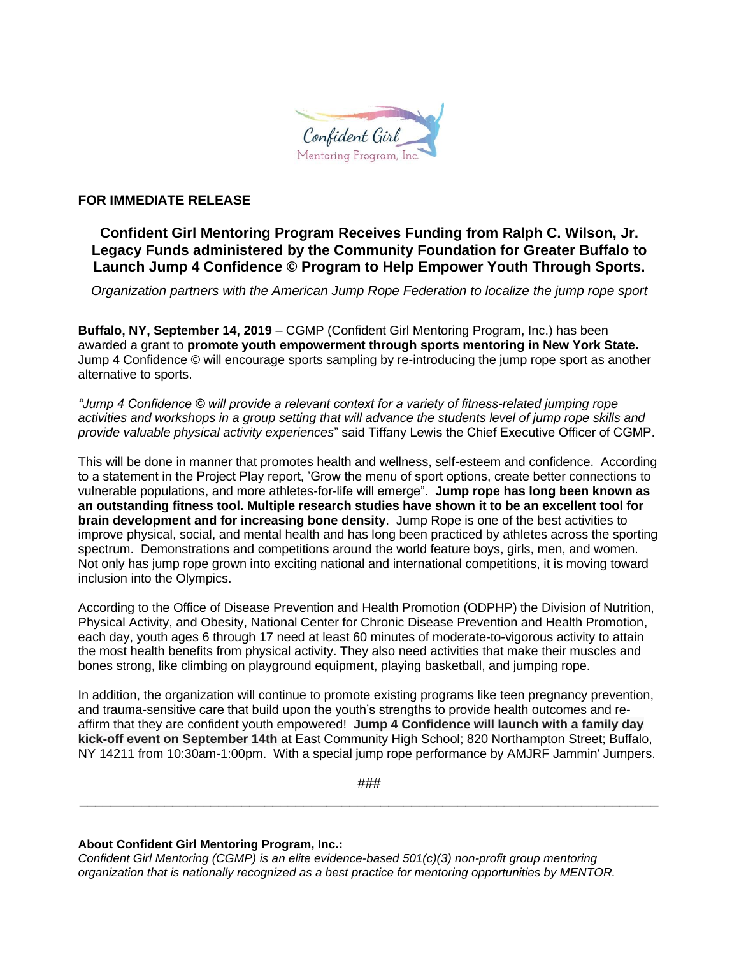

## **FOR IMMEDIATE RELEASE**

## **Confident Girl Mentoring Program Receives Funding from Ralph C. Wilson, Jr. Legacy Funds administered by the Community Foundation for Greater Buffalo to Launch Jump 4 Confidence © Program to Help Empower Youth Through Sports.**

*Organization partners with the American Jump Rope Federation to localize the jump rope sport*

**Buffalo, NY, September 14, 2019** – CGMP (Confident Girl Mentoring Program, Inc.) has been awarded a grant to **promote youth empowerment through sports mentoring in New York State.**  Jump 4 Confidence © will encourage sports sampling by re-introducing the jump rope sport as another alternative to sports.

*"Jump 4 Confidence © will provide a relevant context for a variety of fitness-related jumping rope*  activities and workshops in a group setting that will advance the students level of jump rope skills and *provide valuable physical activity experiences*" said Tiffany Lewis the Chief Executive Officer of CGMP.

This will be done in manner that promotes health and wellness, self-esteem and confidence. According to a statement in the Project Play report, 'Grow the menu of sport options, create better connections to vulnerable populations, and more athletes-for-life will emerge". **Jump rope has long been known as an outstanding fitness tool. Multiple research studies have shown it to be an excellent tool for brain development and for increasing bone density**. Jump Rope is one of the best activities to improve physical, social, and mental health and has long been practiced by athletes across the sporting spectrum. Demonstrations and competitions around the world feature boys, girls, men, and women. Not only has jump rope grown into exciting national and international competitions, it is moving toward inclusion into the Olympics.

According to the Office of Disease Prevention and Health Promotion (ODPHP) the Division of Nutrition, Physical Activity, and Obesity, National Center for Chronic Disease Prevention and Health Promotion, each day, youth ages 6 through 17 need at least 60 minutes of moderate-to-vigorous activity to attain the most health benefits from physical activity. They also need activities that make their muscles and bones strong, like climbing on playground equipment, playing basketball, and jumping rope.

In addition, the organization will continue to promote existing programs like teen pregnancy prevention, and trauma-sensitive care that build upon the youth's strengths to provide health outcomes and reaffirm that they are confident youth empowered! **Jump 4 Confidence will launch with a family day kick-off event on September 14th** at East Community High School; 820 Northampton Street; Buffalo, NY 14211 from 10:30am-1:00pm. With a special jump rope performance by AMJRF Jammin' Jumpers.

### \_\_\_\_\_\_\_\_\_\_\_\_\_\_\_\_\_\_\_\_\_\_\_\_\_\_\_\_\_\_\_\_\_\_\_\_\_\_\_\_\_\_\_\_\_\_\_\_\_\_\_\_\_\_\_\_\_\_\_\_\_\_\_\_\_\_\_\_\_\_\_\_\_\_\_

## **About Confident Girl Mentoring Program, Inc.:**

*Confident Girl Mentoring (CGMP) is an elite evidence-based 501(c)(3) non-profit group mentoring organization that is nationally recognized as a best practice for mentoring opportunities by MENTOR.*